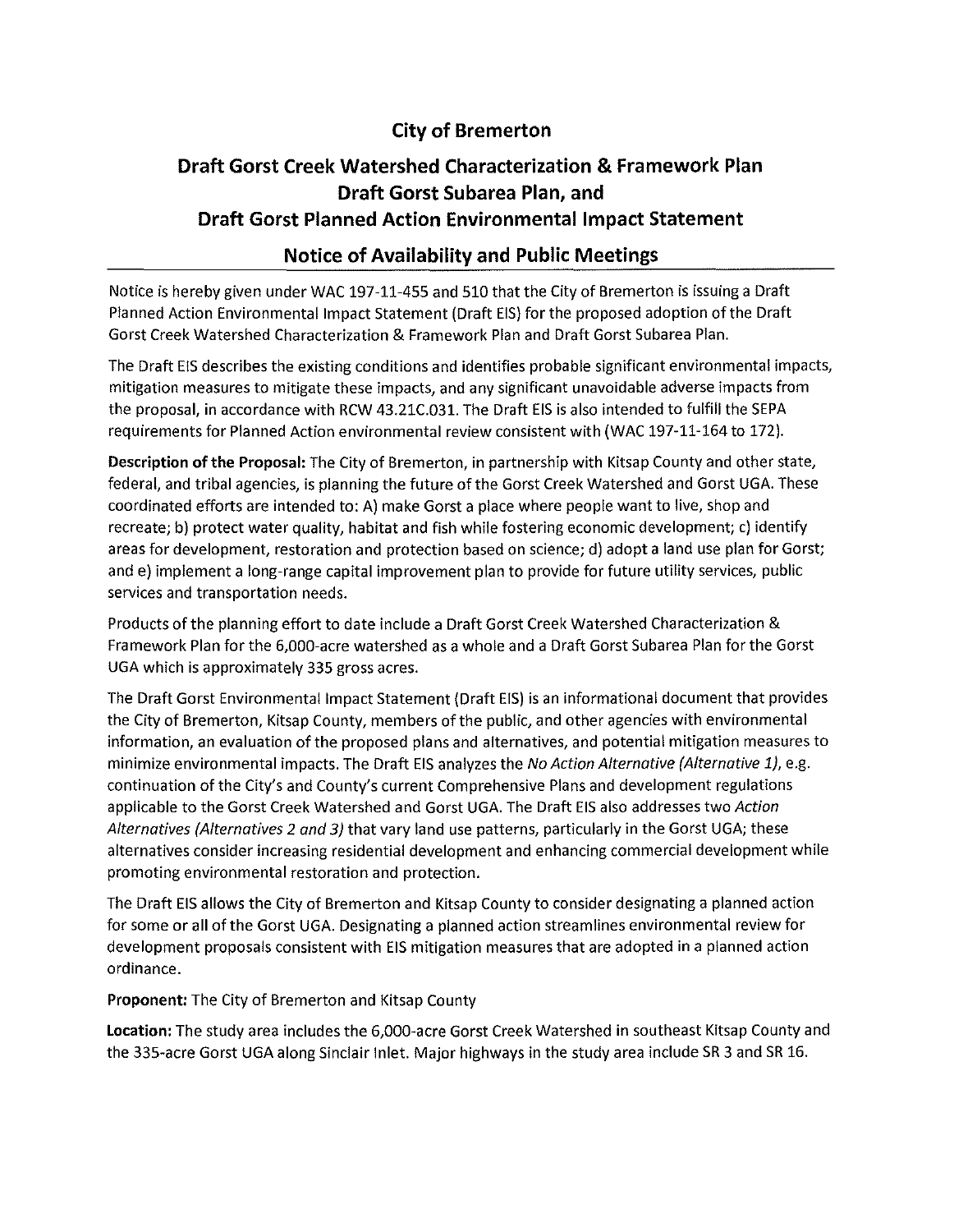## **City of Bremerton**

# **Draft Gorst Creek Watershed Characterization & Framework Plan Draft Gorst Subarea Plan, and Draft Gorst Planned Action Environmental Impact Statement**

## **Notice of Availability and Public Meetings**

Notice is hereby given under WAC 197-11-455 and 510 that the City of Bremerton is issuing a Draft Planned Action Environmental Impact Statement (Draft EIS) for the proposed adoption of the Draft Gorst Creek Watershed Characterization & Framework Plan and Draft Gorst Subarea Plan.

The Draft EIS describes the existing conditions and identifies probable significant environmental impacts, mitigation measures to mitigate these impacts, and any significant unavoidable adverse impacts from the proposal, in accordance with RCW 43.21C.031. The Draft EIS is also intended to fulfill the SEPA requirements for Planned Action environmental review consistent with (WAC 197-11-164 to 172).

**Description of the Proposal:** The City of Bremerton, in partnership with Kitsap County and other state, federal, and tribal agencies, is planning the future of the Gorst Creek Watershed and Gorst UGA. These coordinated efforts are intended to: A) make Gorst a place where people want to live, shop and recreate; b) protect water quality, habitat and fish while fostering economic development; c) identify areas for development, restoration and protection based on science; d) adopt a land use plan for Gorst; and e) implement a long-range capital improvement plan to provide for future utility services, public services and transportation needs.

Products of the planning effort to date include a Draft Gorst Creek Watershed Characterization & Framework Plan for the 6,000-acre watershed as a whole and a Draft Gorst Subarea Plan for the Gorst UGA which is approximately 335 gross acres.

The Draft Gorst Environmental Impact Statement (Draft EIS) is an informational document that provides the City of Bremerton, Kitsap County, members of the public, and other agencies with environmental information, an evaluation of the proposed plans and alternatives, and potential mitigation measures to minimize environmental impacts. The Draft EIS analyzes the No Action Alternative (Alternative 1), e.g. continuation of the City's and County's current Comprehensive Plans and development regulations applicable to the Gorst Creek Watershed and Gorst UGA. The Draft EIS also addresses two Action Alternatives (Alternatives 2 and 3) that vary land use patterns, particularly in the Gorst UGA; these alternatives consider increasing residential development and enhancing commercial development while promoting environmental restoration and protection.

The Draft EIS allows the City of Bremerton and Kitsap County to consider designating a planned action for some or all of the Gorst UGA. Designating a planned action streamlines environmental review for development proposals consistent with EIS mitigation measures that are adopted in a planned action ordinance.

### **Proponent:** The City of Bremerton and Kitsap County

**Location:** The study area includes the 6,000-acre Gorst Creek Watershed in southeast Kitsap County and the 335-acre Gorst UGA along Sinclair Inlet. Major highways in the study area include SR 3 and SR 16.